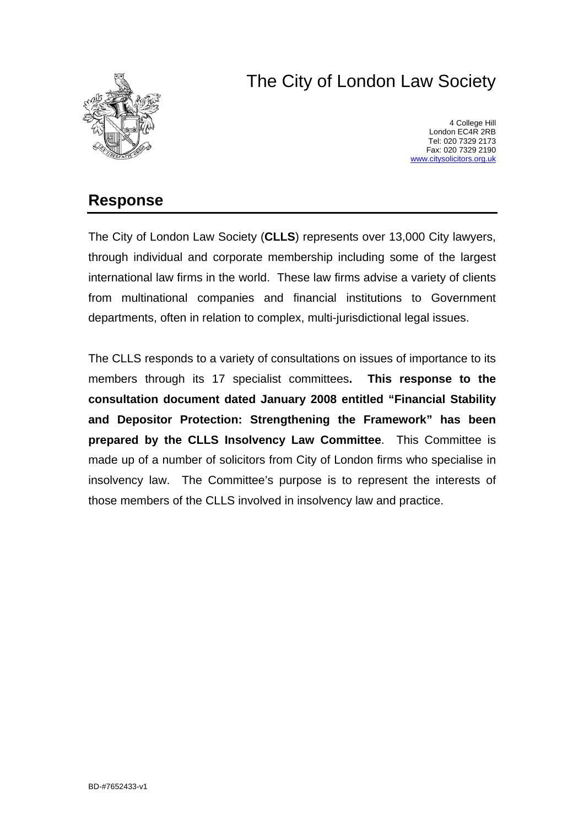# The City of London Law Society



4 College Hill London EC4R 2RB Tel: 020 7329 2173 Fax: 020 7329 2190 [www.citysolicitors.org.uk](http://www.citysolicitors.org.uk/)

# **Response**

The City of London Law Society (**CLLS**) represents over 13,000 City lawyers, through individual and corporate membership including some of the largest international law firms in the world. These law firms advise a variety of clients from multinational companies and financial institutions to Government departments, often in relation to complex, multi-jurisdictional legal issues.

The CLLS responds to a variety of consultations on issues of importance to its members through its 17 specialist committees**. This response to the consultation document dated January 2008 entitled "Financial Stability and Depositor Protection: Strengthening the Framework" has been prepared by the CLLS Insolvency Law Committee**. This Committee is made up of a number of solicitors from City of London firms who specialise in insolvency law. The Committee's purpose is to represent the interests of those members of the CLLS involved in insolvency law and practice.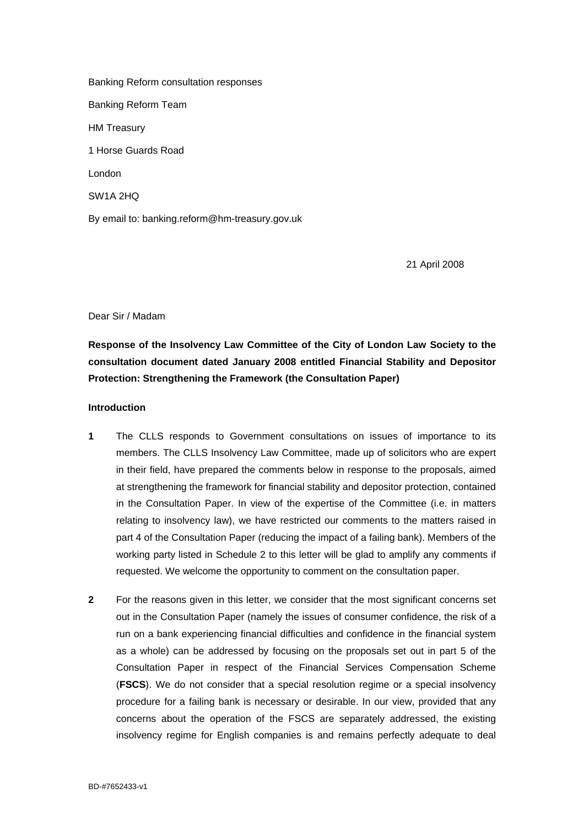Banking Reform consultation responses Banking Reform Team HM Treasury 1 Horse Guards Road London SW1A 2HQ By email to: banking.reform@hm-treasury.gov.uk

21 April 2008

Dear Sir / Madam

**Response of the Insolvency Law Committee of the City of London Law Society to the consultation document dated January 2008 entitled Financial Stability and Depositor Protection: Strengthening the Framework (the Consultation Paper)**

#### **Introduction**

- **1** The CLLS responds to Government consultations on issues of importance to its members. The CLLS Insolvency Law Committee, made up of solicitors who are expert in their field, have prepared the comments below in response to the proposals, aimed at strengthening the framework for financial stability and depositor protection, contained in the Consultation Paper. In view of the expertise of the Committee (i.e. in matters relating to insolvency law), we have restricted our comments to the matters raised in part 4 of the Consultation Paper (reducing the impact of a failing bank). Members of the working party listed in Schedule 2 to this letter will be glad to amplify any comments if requested. We welcome the opportunity to comment on the consultation paper.
- **2** For the reasons given in this letter, we consider that the most significant concerns set out in the Consultation Paper (namely the issues of consumer confidence, the risk of a run on a bank experiencing financial difficulties and confidence in the financial system as a whole) can be addressed by focusing on the proposals set out in part 5 of the Consultation Paper in respect of the Financial Services Compensation Scheme (**FSCS**). We do not consider that a special resolution regime or a special insolvency procedure for a failing bank is necessary or desirable. In our view, provided that any concerns about the operation of the FSCS are separately addressed, the existing insolvency regime for English companies is and remains perfectly adequate to deal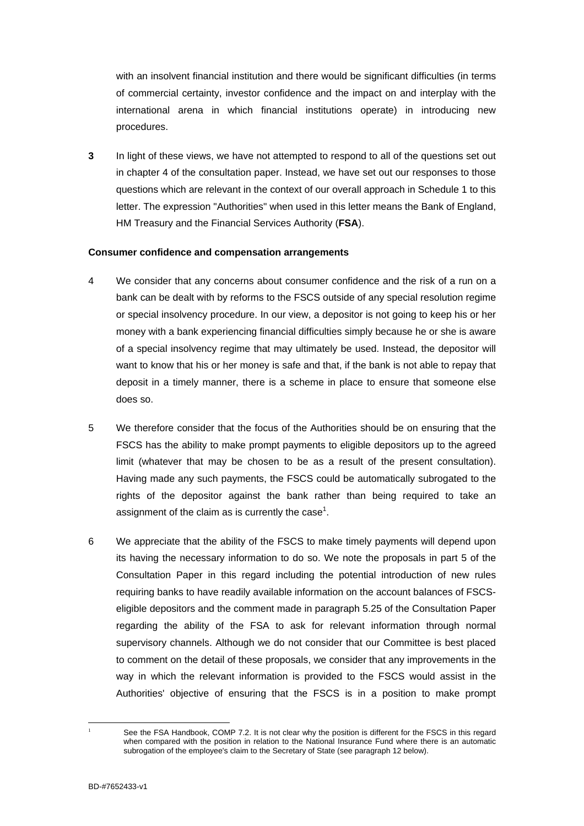with an insolvent financial institution and there would be significant difficulties (in terms of commercial certainty, investor confidence and the impact on and interplay with the international arena in which financial institutions operate) in introducing new procedures.

**3** In light of these views, we have not attempted to respond to all of the questions set out in chapter 4 of the consultation paper. Instead, we have set out our responses to those questions which are relevant in the context of our overall approach in Schedule 1 to this letter. The expression "Authorities" when used in this letter means the Bank of England, HM Treasury and the Financial Services Authority (**FSA**).

#### **Consumer confidence and compensation arrangements**

- 4 We consider that any concerns about consumer confidence and the risk of a run on a bank can be dealt with by reforms to the FSCS outside of any special resolution regime or special insolvency procedure. In our view, a depositor is not going to keep his or her money with a bank experiencing financial difficulties simply because he or she is aware of a special insolvency regime that may ultimately be used. Instead, the depositor will want to know that his or her money is safe and that, if the bank is not able to repay that deposit in a timely manner, there is a scheme in place to ensure that someone else does so.
- 5 We therefore consider that the focus of the Authorities should be on ensuring that the FSCS has the ability to make prompt payments to eligible depositors up to the agreed limit (whatever that may be chosen to be as a result of the present consultation). Having made any such payments, the FSCS could be automatically subrogated to the rights of the depositor against the bank rather than being required to take an assignment of the claim as is currently the case<sup>1</sup>[.](#page-2-0)
- 6 We appreciate that the ability of the FSCS to make timely payments will depend upon its having the necessary information to do so. We note the proposals in part 5 of the Consultation Paper in this regard including the potential introduction of new rules requiring banks to have readily available information on the account balances of FSCSeligible depositors and the comment made in paragraph 5.25 of the Consultation Paper regarding the ability of the FSA to ask for relevant information through normal supervisory channels. Although we do not consider that our Committee is best placed to comment on the detail of these proposals, we consider that any improvements in the way in which the relevant information is provided to the FSCS would assist in the Authorities' objective of ensuring that the FSCS is in a position to make prompt

<span id="page-2-0"></span> $\frac{1}{1}$ 

See the FSA Handbook, COMP 7.2. It is not clear why the position is different for the FSCS in this regard when compared with the position in relation to the National Insurance Fund where there is an automatic subrogation of the employee's claim to the Secretary of State (see paragraph 12 below).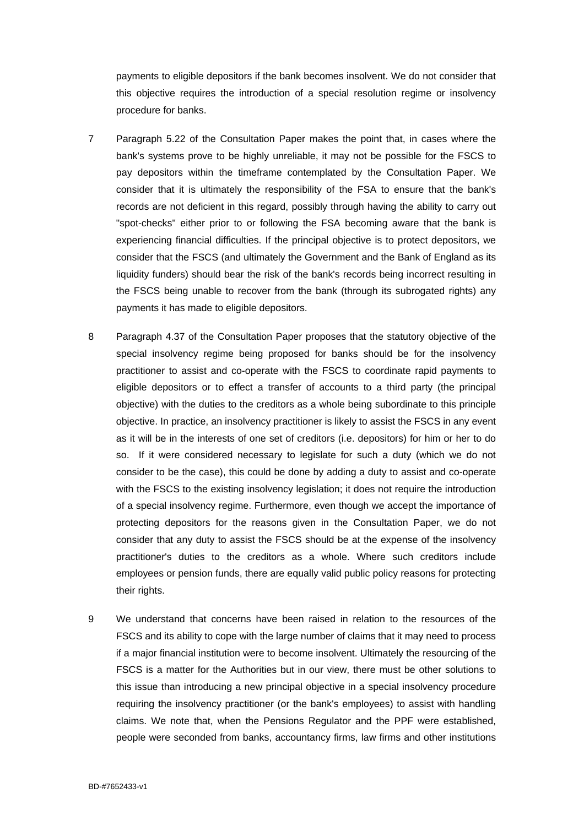payments to eligible depositors if the bank becomes insolvent. We do not consider that this objective requires the introduction of a special resolution regime or insolvency procedure for banks.

- 7 Paragraph 5.22 of the Consultation Paper makes the point that, in cases where the bank's systems prove to be highly unreliable, it may not be possible for the FSCS to pay depositors within the timeframe contemplated by the Consultation Paper. We consider that it is ultimately the responsibility of the FSA to ensure that the bank's records are not deficient in this regard, possibly through having the ability to carry out "spot-checks" either prior to or following the FSA becoming aware that the bank is experiencing financial difficulties. If the principal objective is to protect depositors, we consider that the FSCS (and ultimately the Government and the Bank of England as its liquidity funders) should bear the risk of the bank's records being incorrect resulting in the FSCS being unable to recover from the bank (through its subrogated rights) any payments it has made to eligible depositors.
- 8 Paragraph 4.37 of the Consultation Paper proposes that the statutory objective of the special insolvency regime being proposed for banks should be for the insolvency practitioner to assist and co-operate with the FSCS to coordinate rapid payments to eligible depositors or to effect a transfer of accounts to a third party (the principal objective) with the duties to the creditors as a whole being subordinate to this principle objective. In practice, an insolvency practitioner is likely to assist the FSCS in any event as it will be in the interests of one set of creditors (i.e. depositors) for him or her to do so. If it were considered necessary to legislate for such a duty (which we do not consider to be the case), this could be done by adding a duty to assist and co-operate with the FSCS to the existing insolvency legislation; it does not require the introduction of a special insolvency regime. Furthermore, even though we accept the importance of protecting depositors for the reasons given in the Consultation Paper, we do not consider that any duty to assist the FSCS should be at the expense of the insolvency practitioner's duties to the creditors as a whole. Where such creditors include employees or pension funds, there are equally valid public policy reasons for protecting their rights.
- 9 We understand that concerns have been raised in relation to the resources of the FSCS and its ability to cope with the large number of claims that it may need to process if a major financial institution were to become insolvent. Ultimately the resourcing of the FSCS is a matter for the Authorities but in our view, there must be other solutions to this issue than introducing a new principal objective in a special insolvency procedure requiring the insolvency practitioner (or the bank's employees) to assist with handling claims. We note that, when the Pensions Regulator and the PPF were established, people were seconded from banks, accountancy firms, law firms and other institutions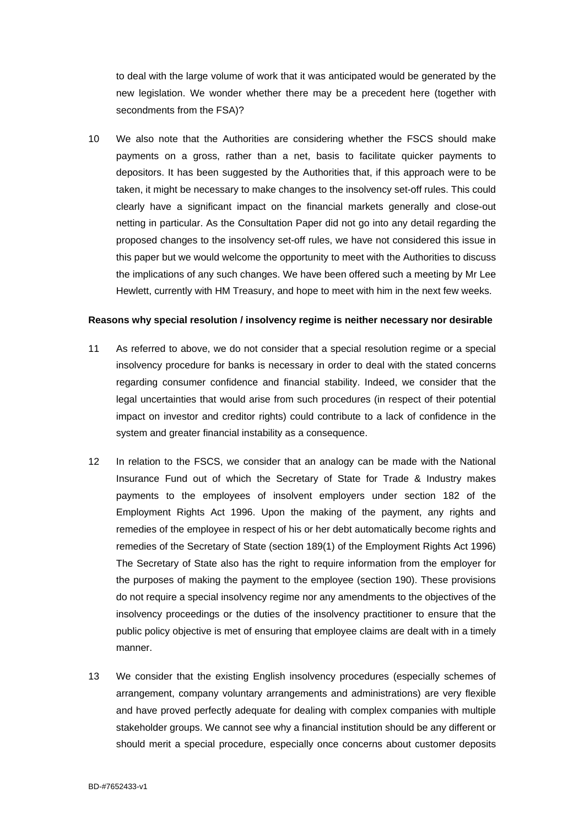to deal with the large volume of work that it was anticipated would be generated by the new legislation. We wonder whether there may be a precedent here (together with secondments from the FSA)?

10 We also note that the Authorities are considering whether the FSCS should make payments on a gross, rather than a net, basis to facilitate quicker payments to depositors. It has been suggested by the Authorities that, if this approach were to be taken, it might be necessary to make changes to the insolvency set-off rules. This could clearly have a significant impact on the financial markets generally and close-out netting in particular. As the Consultation Paper did not go into any detail regarding the proposed changes to the insolvency set-off rules, we have not considered this issue in this paper but we would welcome the opportunity to meet with the Authorities to discuss the implications of any such changes. We have been offered such a meeting by Mr Lee Hewlett, currently with HM Treasury, and hope to meet with him in the next few weeks.

#### **Reasons why special resolution / insolvency regime is neither necessary nor desirable**

- 11 As referred to above, we do not consider that a special resolution regime or a special insolvency procedure for banks is necessary in order to deal with the stated concerns regarding consumer confidence and financial stability. Indeed, we consider that the legal uncertainties that would arise from such procedures (in respect of their potential impact on investor and creditor rights) could contribute to a lack of confidence in the system and greater financial instability as a consequence.
- 12 In relation to the FSCS, we consider that an analogy can be made with the National Insurance Fund out of which the Secretary of State for Trade & Industry makes payments to the employees of insolvent employers under section 182 of the Employment Rights Act 1996. Upon the making of the payment, any rights and remedies of the employee in respect of his or her debt automatically become rights and remedies of the Secretary of State (section 189(1) of the Employment Rights Act 1996) The Secretary of State also has the right to require information from the employer for the purposes of making the payment to the employee (section 190). These provisions do not require a special insolvency regime nor any amendments to the objectives of the insolvency proceedings or the duties of the insolvency practitioner to ensure that the public policy objective is met of ensuring that employee claims are dealt with in a timely manner.
- 13 We consider that the existing English insolvency procedures (especially schemes of arrangement, company voluntary arrangements and administrations) are very flexible and have proved perfectly adequate for dealing with complex companies with multiple stakeholder groups. We cannot see why a financial institution should be any different or should merit a special procedure, especially once concerns about customer deposits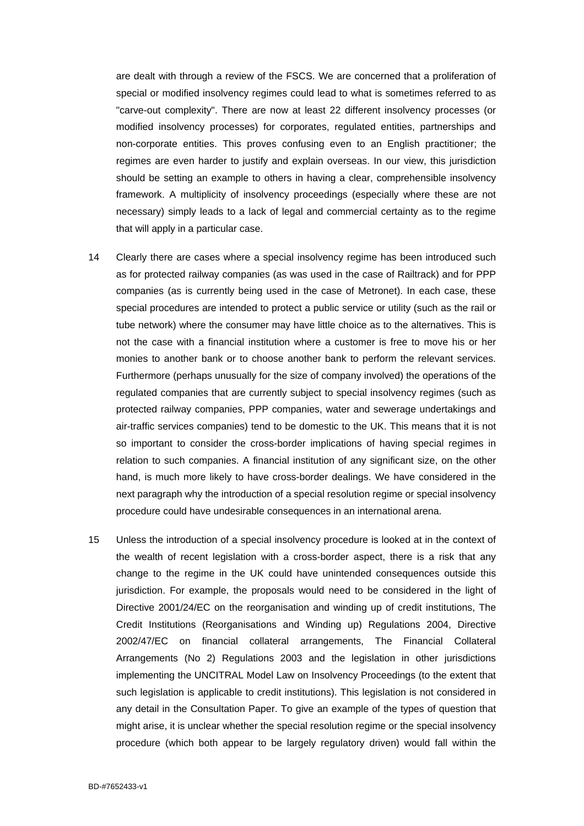are dealt with through a review of the FSCS. We are concerned that a proliferation of special or modified insolvency regimes could lead to what is sometimes referred to as "carve-out complexity". There are now at least 22 different insolvency processes (or modified insolvency processes) for corporates, regulated entities, partnerships and non-corporate entities. This proves confusing even to an English practitioner; the regimes are even harder to justify and explain overseas. In our view, this jurisdiction should be setting an example to others in having a clear, comprehensible insolvency framework. A multiplicity of insolvency proceedings (especially where these are not necessary) simply leads to a lack of legal and commercial certainty as to the regime that will apply in a particular case.

- 14 Clearly there are cases where a special insolvency regime has been introduced such as for protected railway companies (as was used in the case of Railtrack) and for PPP companies (as is currently being used in the case of Metronet). In each case, these special procedures are intended to protect a public service or utility (such as the rail or tube network) where the consumer may have little choice as to the alternatives. This is not the case with a financial institution where a customer is free to move his or her monies to another bank or to choose another bank to perform the relevant services. Furthermore (perhaps unusually for the size of company involved) the operations of the regulated companies that are currently subject to special insolvency regimes (such as protected railway companies, PPP companies, water and sewerage undertakings and air-traffic services companies) tend to be domestic to the UK. This means that it is not so important to consider the cross-border implications of having special regimes in relation to such companies. A financial institution of any significant size, on the other hand, is much more likely to have cross-border dealings. We have considered in the next paragraph why the introduction of a special resolution regime or special insolvency procedure could have undesirable consequences in an international arena.
- 15 Unless the introduction of a special insolvency procedure is looked at in the context of the wealth of recent legislation with a cross-border aspect, there is a risk that any change to the regime in the UK could have unintended consequences outside this jurisdiction. For example, the proposals would need to be considered in the light of Directive 2001/24/EC on the reorganisation and winding up of credit institutions, The Credit Institutions (Reorganisations and Winding up) Regulations 2004, Directive 2002/47/EC on financial collateral arrangements, The Financial Collateral Arrangements (No 2) Regulations 2003 and the legislation in other jurisdictions implementing the UNCITRAL Model Law on Insolvency Proceedings (to the extent that such legislation is applicable to credit institutions). This legislation is not considered in any detail in the Consultation Paper. To give an example of the types of question that might arise, it is unclear whether the special resolution regime or the special insolvency procedure (which both appear to be largely regulatory driven) would fall within the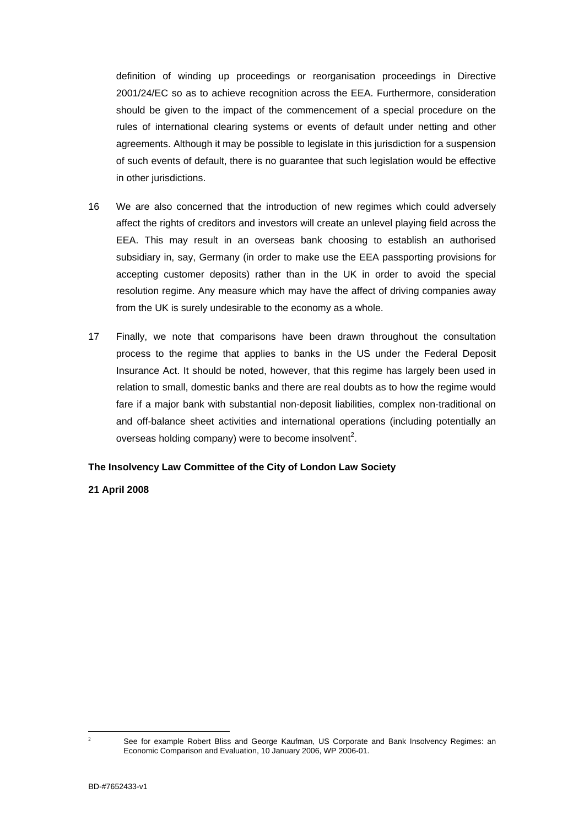definition of winding up proceedings or reorganisation proceedings in Directive 2001/24/EC so as to achieve recognition across the EEA. Furthermore, consideration should be given to the impact of the commencement of a special procedure on the rules of international clearing systems or events of default under netting and other agreements. Although it may be possible to legislate in this jurisdiction for a suspension of such events of default, there is no guarantee that such legislation would be effective in other jurisdictions.

- 16 We are also concerned that the introduction of new regimes which could adversely affect the rights of creditors and investors will create an unlevel playing field across the EEA. This may result in an overseas bank choosing to establish an authorised subsidiary in, say, Germany (in order to make use the EEA passporting provisions for accepting customer deposits) rather than in the UK in order to avoid the special resolution regime. Any measure which may have the affect of driving companies away from the UK is surely undesirable to the economy as a whole.
- 17 Finally, we note that comparisons have been drawn throughout the consultation process to the regime that applies to banks in the US under the Federal Deposit Insurance Act. It should be noted, however, that this regime has largely been used in relation to small, domestic banks and there are real doubts as to how the regime would fare if a major bank with substantial non-deposit liabilities, complex non-traditional on and off-balance sheet activities and international operations (including potentially an overseas holding company) were to become insolvent<sup>2</sup>[.](#page-6-0)

#### **The Insolvency Law Committee of the City of London Law Society**

#### **21 April 2008**

<span id="page-6-0"></span> $\frac{1}{2}$ 

See for example Robert Bliss and George Kaufman, US Corporate and Bank Insolvency Regimes: an Economic Comparison and Evaluation, 10 January 2006, WP 2006-01.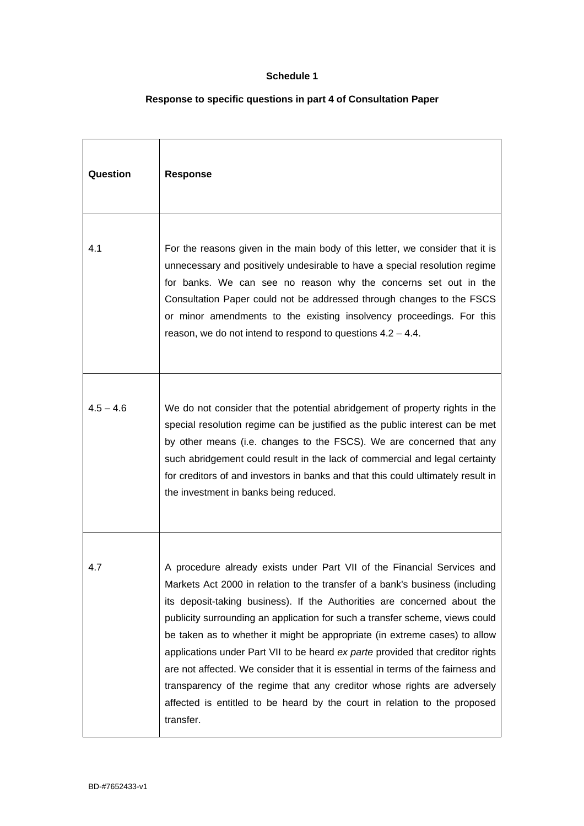#### **Schedule 1**

## **Response to specific questions in part 4 of Consultation Paper**

| Question    | <b>Response</b>                                                                                                                                                                                                                                                                                                                                                                                                                                                                                                                                                                                                                                                                                                                             |
|-------------|---------------------------------------------------------------------------------------------------------------------------------------------------------------------------------------------------------------------------------------------------------------------------------------------------------------------------------------------------------------------------------------------------------------------------------------------------------------------------------------------------------------------------------------------------------------------------------------------------------------------------------------------------------------------------------------------------------------------------------------------|
| 4.1         | For the reasons given in the main body of this letter, we consider that it is<br>unnecessary and positively undesirable to have a special resolution regime<br>for banks. We can see no reason why the concerns set out in the<br>Consultation Paper could not be addressed through changes to the FSCS<br>or minor amendments to the existing insolvency proceedings. For this<br>reason, we do not intend to respond to questions $4.2 - 4.4$ .                                                                                                                                                                                                                                                                                           |
| $4.5 - 4.6$ | We do not consider that the potential abridgement of property rights in the<br>special resolution regime can be justified as the public interest can be met<br>by other means (i.e. changes to the FSCS). We are concerned that any<br>such abridgement could result in the lack of commercial and legal certainty<br>for creditors of and investors in banks and that this could ultimately result in<br>the investment in banks being reduced.                                                                                                                                                                                                                                                                                            |
| 4.7         | A procedure already exists under Part VII of the Financial Services and<br>Markets Act 2000 in relation to the transfer of a bank's business (including<br>its deposit-taking business). If the Authorities are concerned about the<br>publicity surrounding an application for such a transfer scheme, views could<br>be taken as to whether it might be appropriate (in extreme cases) to allow<br>applications under Part VII to be heard ex parte provided that creditor rights<br>are not affected. We consider that it is essential in terms of the fairness and<br>transparency of the regime that any creditor whose rights are adversely<br>affected is entitled to be heard by the court in relation to the proposed<br>transfer. |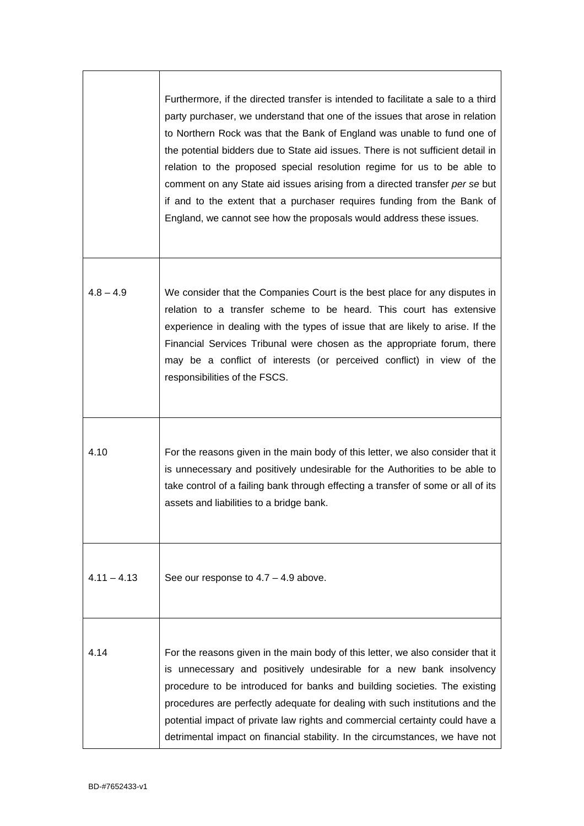|               | Furthermore, if the directed transfer is intended to facilitate a sale to a third<br>party purchaser, we understand that one of the issues that arose in relation<br>to Northern Rock was that the Bank of England was unable to fund one of<br>the potential bidders due to State aid issues. There is not sufficient detail in<br>relation to the proposed special resolution regime for us to be able to<br>comment on any State aid issues arising from a directed transfer per se but<br>if and to the extent that a purchaser requires funding from the Bank of<br>England, we cannot see how the proposals would address these issues. |
|---------------|-----------------------------------------------------------------------------------------------------------------------------------------------------------------------------------------------------------------------------------------------------------------------------------------------------------------------------------------------------------------------------------------------------------------------------------------------------------------------------------------------------------------------------------------------------------------------------------------------------------------------------------------------|
| $4.8 - 4.9$   | We consider that the Companies Court is the best place for any disputes in<br>relation to a transfer scheme to be heard. This court has extensive<br>experience in dealing with the types of issue that are likely to arise. If the<br>Financial Services Tribunal were chosen as the appropriate forum, there<br>may be a conflict of interests (or perceived conflict) in view of the<br>responsibilities of the FSCS.                                                                                                                                                                                                                      |
| 4.10          | For the reasons given in the main body of this letter, we also consider that it<br>is unnecessary and positively undesirable for the Authorities to be able to<br>take control of a failing bank through effecting a transfer of some or all of its<br>assets and liabilities to a bridge bank.                                                                                                                                                                                                                                                                                                                                               |
| $4.11 - 4.13$ | See our response to $4.7 - 4.9$ above.                                                                                                                                                                                                                                                                                                                                                                                                                                                                                                                                                                                                        |
| 4.14          | For the reasons given in the main body of this letter, we also consider that it<br>is unnecessary and positively undesirable for a new bank insolvency<br>procedure to be introduced for banks and building societies. The existing<br>procedures are perfectly adequate for dealing with such institutions and the<br>potential impact of private law rights and commercial certainty could have a<br>detrimental impact on financial stability. In the circumstances, we have not                                                                                                                                                           |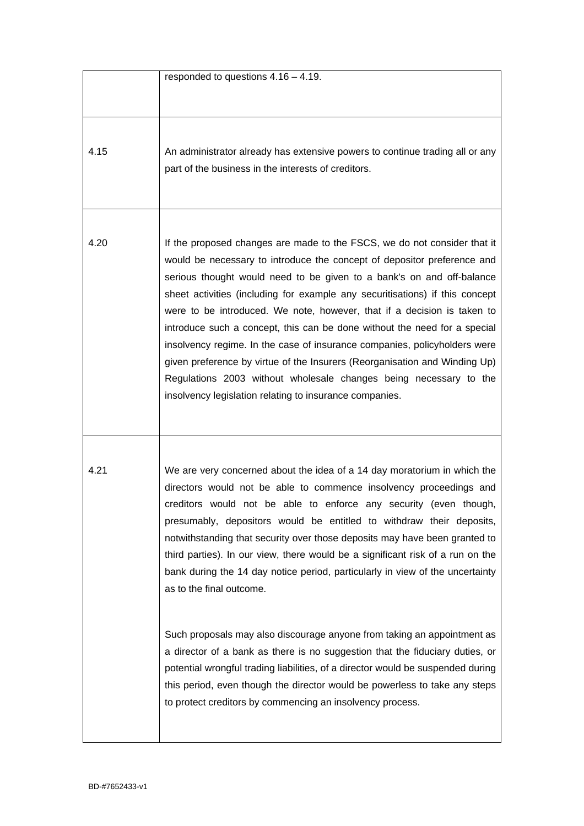|      | responded to questions $4.16 - 4.19$ .                                                                                                                                                                                                                                                                                                                                                                                                                                                                                                                                                                                                                                                                                                                                                                                                                                                                                                                            |
|------|-------------------------------------------------------------------------------------------------------------------------------------------------------------------------------------------------------------------------------------------------------------------------------------------------------------------------------------------------------------------------------------------------------------------------------------------------------------------------------------------------------------------------------------------------------------------------------------------------------------------------------------------------------------------------------------------------------------------------------------------------------------------------------------------------------------------------------------------------------------------------------------------------------------------------------------------------------------------|
| 4.15 | An administrator already has extensive powers to continue trading all or any<br>part of the business in the interests of creditors.                                                                                                                                                                                                                                                                                                                                                                                                                                                                                                                                                                                                                                                                                                                                                                                                                               |
| 4.20 | If the proposed changes are made to the FSCS, we do not consider that it<br>would be necessary to introduce the concept of depositor preference and<br>serious thought would need to be given to a bank's on and off-balance<br>sheet activities (including for example any securitisations) if this concept<br>were to be introduced. We note, however, that if a decision is taken to<br>introduce such a concept, this can be done without the need for a special<br>insolvency regime. In the case of insurance companies, policyholders were<br>given preference by virtue of the Insurers (Reorganisation and Winding Up)<br>Regulations 2003 without wholesale changes being necessary to the<br>insolvency legislation relating to insurance companies.                                                                                                                                                                                                   |
| 4.21 | We are very concerned about the idea of a 14 day moratorium in which the<br>directors would not be able to commence insolvency proceedings and<br>creditors would not be able to enforce any security (even though,<br>presumably, depositors would be entitled to withdraw their deposits,<br>notwithstanding that security over those deposits may have been granted to<br>third parties). In our view, there would be a significant risk of a run on the<br>bank during the 14 day notice period, particularly in view of the uncertainty<br>as to the final outcome.<br>Such proposals may also discourage anyone from taking an appointment as<br>a director of a bank as there is no suggestion that the fiduciary duties, or<br>potential wrongful trading liabilities, of a director would be suspended during<br>this period, even though the director would be powerless to take any steps<br>to protect creditors by commencing an insolvency process. |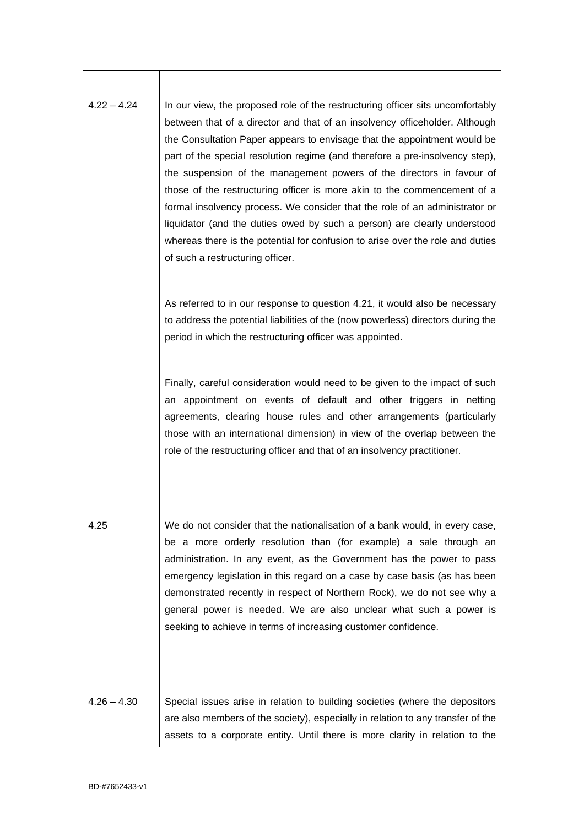| $4.22 - 4.24$ | In our view, the proposed role of the restructuring officer sits uncomfortably<br>between that of a director and that of an insolvency officeholder. Although<br>the Consultation Paper appears to envisage that the appointment would be<br>part of the special resolution regime (and therefore a pre-insolvency step),<br>the suspension of the management powers of the directors in favour of<br>those of the restructuring officer is more akin to the commencement of a<br>formal insolvency process. We consider that the role of an administrator or<br>liquidator (and the duties owed by such a person) are clearly understood<br>whereas there is the potential for confusion to arise over the role and duties<br>of such a restructuring officer. |
|---------------|-----------------------------------------------------------------------------------------------------------------------------------------------------------------------------------------------------------------------------------------------------------------------------------------------------------------------------------------------------------------------------------------------------------------------------------------------------------------------------------------------------------------------------------------------------------------------------------------------------------------------------------------------------------------------------------------------------------------------------------------------------------------|
|               | As referred to in our response to question 4.21, it would also be necessary<br>to address the potential liabilities of the (now powerless) directors during the<br>period in which the restructuring officer was appointed.                                                                                                                                                                                                                                                                                                                                                                                                                                                                                                                                     |
|               | Finally, careful consideration would need to be given to the impact of such<br>an appointment on events of default and other triggers in netting<br>agreements, clearing house rules and other arrangements (particularly<br>those with an international dimension) in view of the overlap between the<br>role of the restructuring officer and that of an insolvency practitioner.                                                                                                                                                                                                                                                                                                                                                                             |
| 4.25          | We do not consider that the nationalisation of a bank would, in every case,<br>be a more orderly resolution than (for example) a sale through an<br>administration. In any event, as the Government has the power to pass<br>emergency legislation in this regard on a case by case basis (as has been<br>demonstrated recently in respect of Northern Rock), we do not see why a<br>general power is needed. We are also unclear what such a power is<br>seeking to achieve in terms of increasing customer confidence.                                                                                                                                                                                                                                        |
| $4.26 - 4.30$ | Special issues arise in relation to building societies (where the depositors<br>are also members of the society), especially in relation to any transfer of the<br>assets to a corporate entity. Until there is more clarity in relation to the                                                                                                                                                                                                                                                                                                                                                                                                                                                                                                                 |

 $\overline{\phantom{a}}$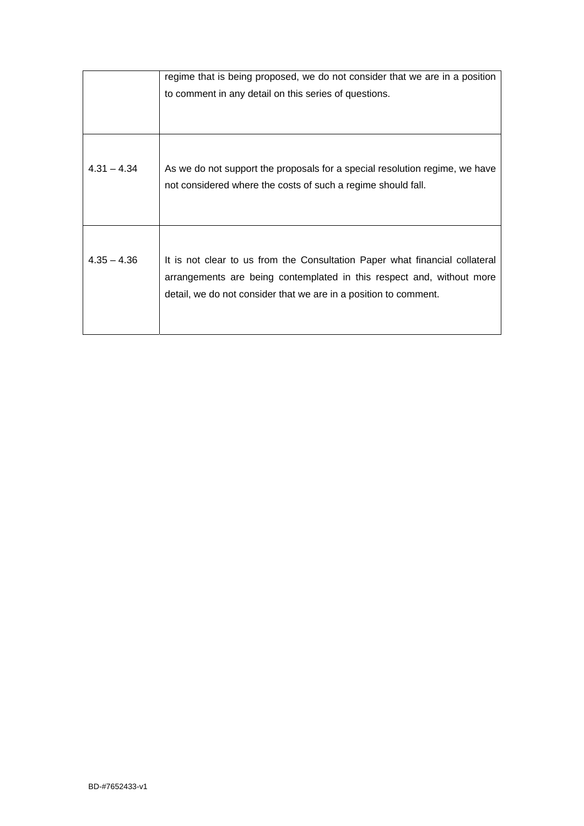|               | regime that is being proposed, we do not consider that we are in a position                                                                                                                                              |
|---------------|--------------------------------------------------------------------------------------------------------------------------------------------------------------------------------------------------------------------------|
|               | to comment in any detail on this series of questions.                                                                                                                                                                    |
|               |                                                                                                                                                                                                                          |
|               |                                                                                                                                                                                                                          |
| $4.31 - 4.34$ | As we do not support the proposals for a special resolution regime, we have<br>not considered where the costs of such a regime should fall.                                                                              |
| $4.35 - 4.36$ | It is not clear to us from the Consultation Paper what financial collateral<br>arrangements are being contemplated in this respect and, without more<br>detail, we do not consider that we are in a position to comment. |